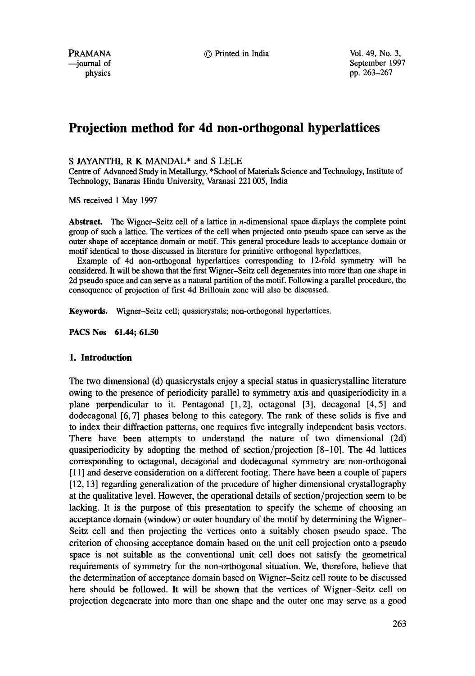PRAMANA  $\odot$  Printed in India  $\odot$  Vol. 49, No. 3,

--journal of September 1997<br>physics pp. 263-267 pp. 263-267

# **Projection method for 4d non-orthogonal hyperlattices**

### S JAYANTHI, R K MANDAL\* and S LELE

Centre of Advanced Study in Metallurgy, \*School of Materials Science and Technology, Institute of Technology, Banaras Hindu University, Varanasi 221 005, India

MS received 1 May 1997

**Abstract.** The Wigner-Seitz cell of a lattice in n-dimensional space displays the complete point group of such a lattice. The vertices of the cell when projected onto pseudo space can serve as the outer shape of acceptance domain or motif. This general procedure leads to acceptance domain or motif identical to those discussed in literature for primitive orthogonal hyperlattices.

Example of 4d non-orthogonal hyperlattices corresponding to 12-fold symmetry will be considered. It will be shown that the first Wigner-Seitz cell degenerates into more than one shape in 2d pseudo space and can serve as a natural partition of the motif. Following a parallel procedure, the consequence of projection of first 4d Brillouin zone will also be discussed.

Keywords. Wigner-Seitz cell; quasicrystals; non-orthogonal hyperlattices.

**PACS Nos 61.44; 61.50** 

# **1. Introduction**

The two dimensional (d) quasicrystals enjoy a special status in quasicrystalline literature owing to the presence of periodicity parallel to symmetry axis and quasiperiodicity in a plane perpendicular to it. Pentagonal [1,2], octagonal [3], decagonal [4,5] and dodecagonal [6, 7] phases belong to this category. The rank of these solids is five and to index their diffraction patterns, one requires five integrally independent basis vectors. There have been attempts to understand the nature of two dimensional (2d) quasiperiodicity by adopting the method of section/projection [8-10]. The 4d lattices corresponding to octagonal, decagonal and dodecagonal symmetry are non-orthogonal  $[11]$  and deserve consideration on a different footing. There have been a couple of papers [12, 13] regarding generalization of the procedure of higher dimensional crystallography at the qualitative level. However, the operational details of section/projection seem to be lacking. It is the purpose of this presentation to specify the scheme of choosing an acceptance domain (window) or outer boundary of the motif by determining the Wigner-Seitz cell and then projecting the vertices onto a suitably chosen pseudo space. The criterion of choosing acceptance domain based on the unit cell projection onto a pseudo space is not suitable as the conventional unit cell does not satisfy the geometrical requirements of symmetry for the non-orthogonal situation. We, therefore, believe that the determination of acceptance domain based on Wigner-Seitz celt route to be discussed here should be followed. It will be shown that the vertices of Wigner-Seitz cell on projection degenerate into more than one shape and the outer one may serve as a good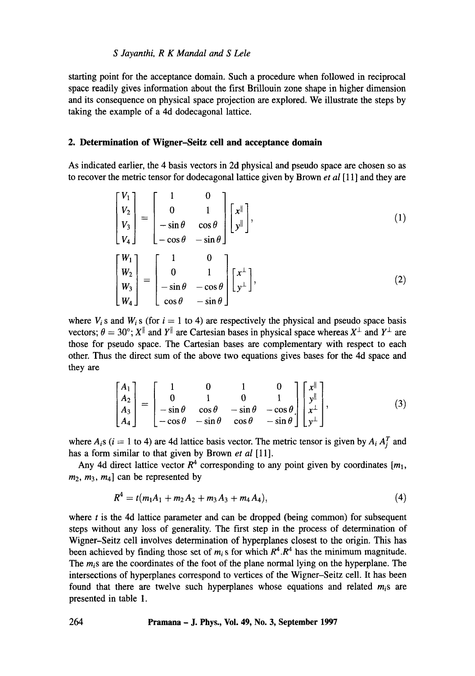## *S Jayanthi, R K Mandal and S Lele*

starting point for the acceptance domain. Such a procedure when followed in reciprocal space readily gives information about the first Brillouin zone shape in higher dimension and its consequence on physical space projection are explored. We illustrate the steps by taking the example of a 4d dodecagonal lattice.

## **2. Determination of Wigner-Seitz cell and acceptance domain**

As indicated earlier, the 4 basis vectors in 2d physical and pseudo space are chosen so as to recover the metric tensor for dodecagonal lattice given by Brown *et al* [11] and they are

$$
\begin{bmatrix} V_1 \\ V_2 \\ V_3 \\ V_4 \end{bmatrix} = \begin{bmatrix} 1 & 0 \\ 0 & 1 \\ -\sin \theta & \cos \theta \\ -\cos \theta & -\sin \theta \end{bmatrix} \begin{bmatrix} x^{\parallel} \\ y^{\parallel} \end{bmatrix}, \qquad (1)
$$

$$
\begin{bmatrix} W_1 \\ W_2 \\ W_3 \\ W_4 \end{bmatrix} = \begin{bmatrix} 1 & 0 \\ 0 & 1 \\ -\sin \theta & -\cos \theta \\ \cos \theta & -\sin \theta \end{bmatrix} \begin{bmatrix} x^{\perp} \\ y^{\perp} \end{bmatrix},
$$
 (2)

where  $V_i$  s and  $W_i$  s (for  $i = 1$  to 4) are respectively the physical and pseudo space basis vectors;  $\theta = 30^{\circ}$ ; X<sup>||</sup> and Y<sup>||</sup> are Cartesian bases in physical space whereas X<sup>1</sup> and Y<sup>1</sup> are those for pseudo space. The Cartesian bases are complementary with respect to each other. Thus the direct sum of the above two equations gives bases for the 4d space and they are

$$
\begin{bmatrix} A_1 \\ A_2 \\ A_3 \\ A_4 \end{bmatrix} = \begin{bmatrix} 1 & 0 & 1 & 0 \\ 0 & 1 & 0 & 1 \\ -\sin\theta & \cos\theta & -\sin\theta & -\cos\theta \\ -\cos\theta & -\sin\theta & \cos\theta & -\sin\theta \end{bmatrix} \begin{bmatrix} x^{\parallel} \\ y^{\parallel} \\ x^{\perp} \\ y^{\perp} \end{bmatrix},
$$
(3)

where  $A_i$ s ( $i = 1$  to 4) are 4d lattice basis vector. The metric tensor is given by  $A_i A_i^T$  and has a form similar to that given by Brown *et al* [11].

Any 4d direct lattice vector  $R^4$  corresponding to any point given by coordinates  $[m_1,$  $m_2$ ,  $m_3$ ,  $m_4$ ] can be represented by

$$
R^4 = t(m_1A_1 + m_2A_2 + m_3A_3 + m_4A_4), \qquad (4)
$$

where  $t$  is the 4d lattice parameter and can be dropped (being common) for subsequent steps without any loss of generality. The first step in the process of determination of Wigner-Seitz cell involves determination of hyperplanes closest to the origin. This has been achieved by finding those set of  $m_i$  s for which  $R^4$ . $R^4$  has the minimum magnitude. *The mis are* the coordinates of the foot of the plane normal lying on the hyperplane. The intersections of hyperplanes correspond to vertices of the Wigner-Seitz cell. It has been found that there are twelve such hyperplanes whose equations and related *mis are*  presented in table 1.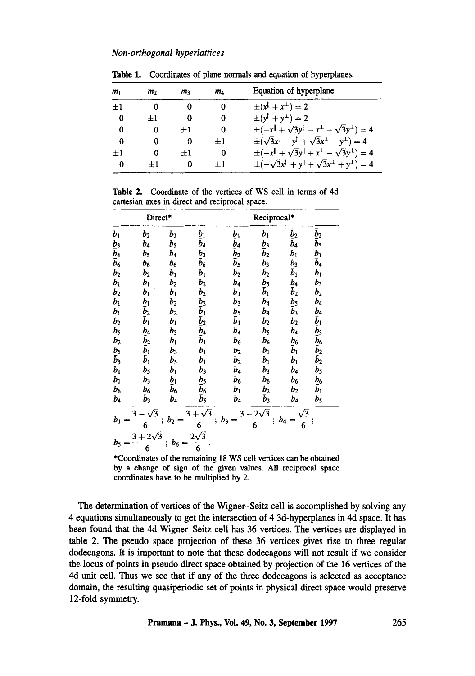#### *Non-orthogonal hyperlattices*

| m <sub>1</sub> | m <sub>2</sub> | m       | ma      | Equation of hyperplane                                                            |  |  |  |
|----------------|----------------|---------|---------|-----------------------------------------------------------------------------------|--|--|--|
| $\pm 1$        | 0              |         | 0       | $\pm (x^{\parallel} + x^{\perp}) = 2$                                             |  |  |  |
| 0              | $+1$           | 0       | 0       | $\pm(y^{\parallel} + y^{\perp}) = 2$                                              |  |  |  |
| 0              | 0              | $\pm 1$ | 0       | $\pm(-x^{\parallel} + \sqrt{3}y^{\parallel} - x^{\perp} - \sqrt{3}y^{\perp}) = 4$ |  |  |  |
| 0              | 0              | 0       | $\pm 1$ | $\pm(\sqrt{3}x^{\parallel}-y^{\parallel}+\sqrt{3}x^{\perp}-y^{\perp})=4$          |  |  |  |
| $\pm 1$        | 0              | $\pm 1$ | 0       | $\pm(-x^{\parallel} + \sqrt{3}y^{\parallel} + x^{\perp} - \sqrt{3}y^{\perp}) = 4$ |  |  |  |
| $\bf{0}$       | $\pm 1$        | 0       | $\pm 1$ | $\pm(-\sqrt{3}x^{\parallel}+y^{\parallel}+\sqrt{3}x^{\perp}+y^{\perp})=4$         |  |  |  |

Table 1. Coordinates of plane normals and equation of hyperplanes.

Table 2. Coordinate of the vertices of WS cell in terms of 4d cartesian axes in direct and reciprocal space.

| Direct*                     |                                                    |                   |                            | Reciprocal*                |                         |                   |                                                       |  |
|-----------------------------|----------------------------------------------------|-------------------|----------------------------|----------------------------|-------------------------|-------------------|-------------------------------------------------------|--|
| $b_1$                       | $b_2$                                              | $b_2$             | $b_1$                      |                            | $b_1$                   | $\bar{b}_2$       | $\bar{b}_2$                                           |  |
|                             | b4                                                 | b <sub>5</sub>    | $\bar{b}_4$                | $\frac{b_1}{b_4}$          |                         | $\bar{b}_4$       | $\bar{b}_5$                                           |  |
| $\frac{b_3}{b_4} \bar{b}_6$ | $b_{5}$                                            | $b_4$             | $b_3$                      | $\bar{b}_2$<br>$\bar{b}_5$ | $\frac{b_3}{b_2}$       | $b_1$             | $b_1$                                                 |  |
|                             | $b_6$                                              | $b_6$             | $\bar{b}_6$                |                            |                         | $\frac{b_3}{b_1}$ | $\tilde{b}_4$                                         |  |
| $b_2$                       | b <sub>2</sub>                                     | $b_1$             | $b_1$                      | b <sub>2</sub>             |                         |                   | $b_1$                                                 |  |
| $b_1$                       | $b_1$                                              | $b_2$             | $b_2$                      | $b_4$                      | $\frac{b_3}{\bar{b}_2}$ |                   | $b_3$                                                 |  |
|                             |                                                    | $b_1$             |                            | $b_1$                      | $\bar{\bm{b}}_1$        | $rac{b_4}{b_2}$   | b <sub>2</sub>                                        |  |
| $\frac{b_2}{b_1}$           | $b_1$<br>$\bar{b}_1$<br>$\bar{b}_2$<br>$\bar{b}_1$ | b <sub>2</sub>    | りこある あるある                  | $b_3$                      | b <sub>4</sub>          |                   | b4                                                    |  |
| $b_1$                       |                                                    | $b_2$             |                            | $b_5$                      | $b_4$                   | $\bar{b}_3$       |                                                       |  |
| b <sub>2</sub>              |                                                    | $b_1$             |                            | $\bar{b}_1$                | $b_2$                   | b <sub>2</sub>    |                                                       |  |
| $b_{5}$                     |                                                    | $b_3$             |                            | b <sub>4</sub>             | $b_{5}$                 | b4                | $b_4$ $\bar{b}_1$ $\bar{b}_3$ $\bar{b}_6$ $\bar{b}_2$ |  |
| $b_2$                       | $\frac{b_4}{\tilde{b}_2}$                          | $b_1$             |                            | $b_6$                      | $b_6$                   | $b_6$             |                                                       |  |
| $\frac{b_5}{b_3}$           |                                                    | $b_3$             | $b_1$                      | b <sub>2</sub>             | $b_1$                   | $\bar{b}_1$       |                                                       |  |
|                             |                                                    | b <sub>5</sub>    | $b_1$                      | b <sub>2</sub>             | $b_1$                   | $b_1$             | $\bar{b}_2 \bar{b}_5 \bar{b}_6 \bar{b}_1$             |  |
|                             | b <sub>5</sub>                                     | $b_1$             | $\bar{b}_3$                | $b_4$                      | b <sub>3</sub>          | $b_4$             |                                                       |  |
| $\frac{b_1}{b_1}$           | $b_3$                                              | $\frac{b_1}{b_6}$ | $\bar{b}_5$<br>$\bar{b}_6$ | b <sub>6</sub>             | $\bar{b}_6$             | $b_6$             |                                                       |  |
| b <sub>6</sub>              | b <sub>6</sub>                                     |                   |                            | $b_1$                      | b <sub>2</sub>          | $b_{2}$           |                                                       |  |
| $b_4$                       | $\bar{b}_3$                                        | $b_4$             | $\bar{b}_5$                | $b_4$                      | $\bar{b}_3$             | b4                | $b_5$                                                 |  |
| b1                          | 6                                                  | $b_2$             | $\sqrt{3}$<br>3.<br>6      | $b_3$                      | $2\sqrt{3}$<br>6        | b4<br>6           | ï                                                     |  |
| b5                          | $3 + 2\sqrt{3}$<br>6                               |                   | $2\sqrt{3}$<br>6           |                            |                         |                   |                                                       |  |

\*Coordinates of the remaining 18 WS cell vertices can be obtained by a change of sign of the given values. All reciprocal space coordinates have to be multiplied by 2.

The determination of vertices of the Wigner-Seitz cell is accomplished by solving any 4 equations simultaneously to get the intersection of 4 3d-hyperplanes in 4d space. It has been found that the 4d Wigner-Seitz cell has 36 vertices. The vertices are displayed in table 2. The pseudo space projection of these 36 vertices gives rise to three regular dodecagons. It is important to note that these dodecagons will not result if we consider the locus of points in pseudo direct space obtained by projection of the 16 vertices of the 4d unit cell. Thus we see that if any of the three dodecagons is selected as acceptance domain, the resulting quasiperiodic set of points in physical direct space would preserve 12-fold symmetry.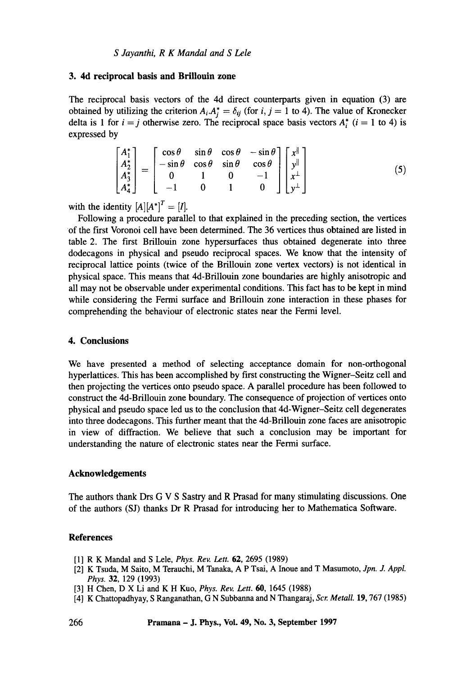### **3. 4d reciprocal basis and Brillouin zone**

The reciprocal basis vectors of the 4d direct counterparts given in equation (3) are obtained by utilizing the criterion  $A_i \cdot A_i^* = \delta_{ij}$  (for  $i, j = 1$  to 4). The value of Kronecker delta is 1 for  $i = j$  otherwise zero. The reciprocal space basis vectors  $A_i^*$  ( $i = 1$  to 4) is expressed by

$$
\begin{bmatrix}\nA_1^* \\
A_2^* \\
A_3^* \\
A_4^*\n\end{bmatrix} = \begin{bmatrix}\n\cos\theta & \sin\theta & \cos\theta & -\sin\theta \\
-\sin\theta & \cos\theta & \sin\theta & \cos\theta \\
0 & 1 & 0 & -1 \\
-1 & 0 & 1 & 0\n\end{bmatrix} \begin{bmatrix}\nx^{\parallel} \\
y^{\parallel} \\
x^{\perp} \\
y^{\perp}\n\end{bmatrix}
$$
\n(5)

with the identity  $[A][A^*]^T = [I].$ 

Following a procedure parallel to that explained in the preceding section, the vertices of the first Voronoi cell have been determined. The 36 vertices thus obtained are listed in table 2. The first Brillouin zone hypersurfaces thus obtained degenerate into three dodecagons in physical and pseudo reciprocal spaces. We know that the intensity of reciprocal lattice points (twice of the Brillouin zone vertex vectors) is not identical in physical space. This means that 4d-Brillouin zone boundaries are highly anisotropic and all may not be observable under experimental conditions. This fact has to be kept in mind while considering the Fermi surface and Brillouin zone interaction in these phases for comprehending the behaviour of electronic states near the Fermi level.

## **4. Conclusions**

We have presented a method of selecting acceptance domain for non-orthogonal hyperlattices. This has been accomplished by first constructing the Wigner-Seitz cell and then projecting the vertices onto pseudo space. A parallel procedure has been followed to construct the 4d-Brillouin zone boundary. The consequence of projection of vertices onto physical and pseudo space led us to the conclusion that 4d-Wigner-Seitz cell degenerates into three dodecagons. This further meant that the 4d-Brillouin zone faces are anisotropic in view of diffraction. We believe that such a conclusion may be important for understanding the nature of electronic states near the Fermi surface.

#### **Acknowledgements**

The authors thank Drs G V S Sastry and R Prasad for many stimulating discussions. One of the authors (SJ) thanks Dr R Prasad for introducing her to Mathematica Software.

# **References**

- [1] R K Mandal and S Lele, *Phys. Rev. Lett.* 62, 2695 (1989)
- [2] K Tsuda, M Saito, M Terauchi, M Tanaka, A P Tsai, A Inoue and T Masumoto, *Jpn. J. Appl. Phys.* 32, 129 (1993)
- [3] H Chen, D X Li and K H Kuo, *Phys. Rev. Lett. 60,* 1645 (1988)
- [4] K Chattopadhyay, S Ranganathan, G N Subbanna and N Thangaraj, *Scr. Metall.* 19, 767 (1985)